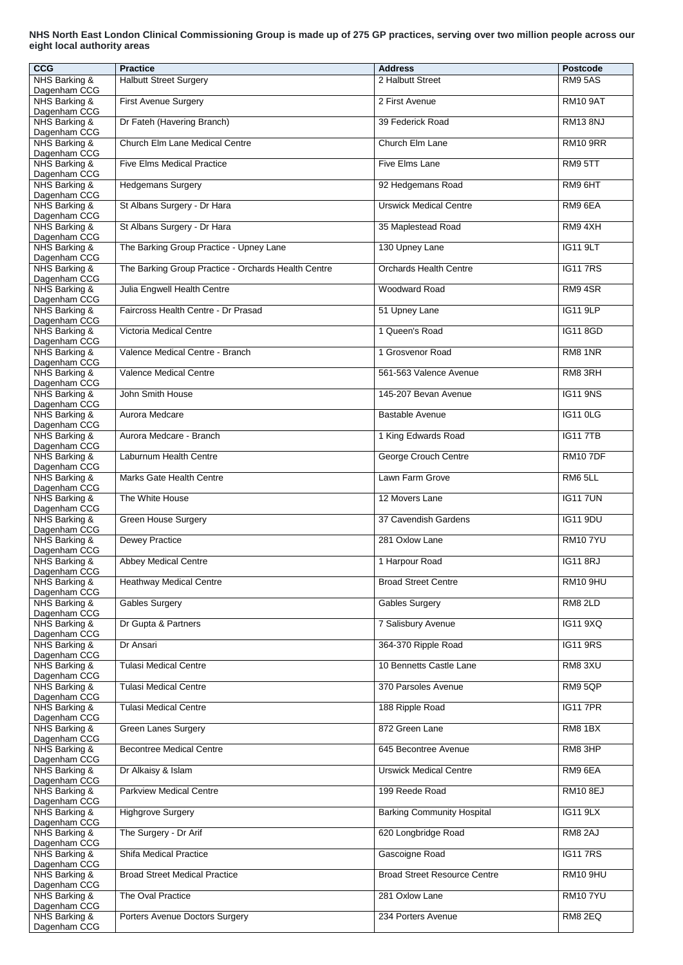## **NHS North East London Clinical Commissioning Group is made up of 275 GP practices, serving over two million people across our eight local authority areas**

| <b>CCG</b>                                    | <b>Practice</b>                                     | <b>Address</b>                      | <b>Postcode</b> |
|-----------------------------------------------|-----------------------------------------------------|-------------------------------------|-----------------|
| NHS Barking &<br>Dagenham CCG                 | <b>Halbutt Street Surgery</b>                       | 2 Halbutt Street                    | <b>RM9 5AS</b>  |
| NHS Barking &                                 | <b>First Avenue Surgery</b>                         | 2 First Avenue                      | <b>RM10 9AT</b> |
| Dagenham CCG<br>NHS Barking &                 | Dr Fateh (Havering Branch)                          | 39 Federick Road                    | <b>RM13 8NJ</b> |
| Dagenham CCG                                  |                                                     |                                     |                 |
| NHS Barking &<br>Dagenham CCG                 | <b>Church Elm Lane Medical Centre</b>               | Church Elm Lane                     | <b>RM10 9RR</b> |
| NHS Barking &                                 | <b>Five Elms Medical Practice</b>                   | <b>Five Elms Lane</b>               | RM9 5TT         |
| Dagenham CCG<br>NHS Barking &<br>Dagenham CCG | <b>Hedgemans Surgery</b>                            | 92 Hedgemans Road                   | RM9 6HT         |
| NHS Barking &                                 | St Albans Surgery - Dr Hara                         | <b>Urswick Medical Centre</b>       | RM9 6EA         |
| Dagenham CCG<br>NHS Barking &                 | St Albans Surgery - Dr Hara                         | 35 Maplestead Road                  | RM94XH          |
| Dagenham CCG<br>NHS Barking &                 | The Barking Group Practice - Upney Lane             | 130 Upney Lane                      | <b>IG11 9LT</b> |
| Dagenham CCG<br>NHS Barking &                 | The Barking Group Practice - Orchards Health Centre | <b>Orchards Health Centre</b>       | <b>IG117RS</b>  |
| Dagenham CCG<br>NHS Barking &                 | Julia Engwell Health Centre                         | <b>Woodward Road</b>                | RM94SR          |
| Dagenham CCG                                  |                                                     |                                     |                 |
| NHS Barking &<br>Dagenham CCG                 | Faircross Health Centre - Dr Prasad                 | 51 Upney Lane                       | <b>IG11 9LP</b> |
| NHS Barking &                                 | <b>Victoria Medical Centre</b>                      | 1 Queen's Road                      | <b>IG11 8GD</b> |
| Dagenham CCG<br>NHS Barking &<br>Dagenham CCG | Valence Medical Centre - Branch                     | 1 Grosvenor Road                    | RM8 1NR         |
| NHS Barking &                                 | <b>Valence Medical Centre</b>                       | 561-563 Valence Avenue              | RM8 3RH         |
| Dagenham CCG<br>NHS Barking &                 | John Smith House                                    | 145-207 Bevan Avenue                | <b>IG11 9NS</b> |
| Dagenham CCG<br>NHS Barking &                 | Aurora Medcare                                      | <b>Bastable Avenue</b>              | <b>IG11 0LG</b> |
| Dagenham CCG                                  |                                                     |                                     |                 |
| NHS Barking &<br>Dagenham CCG                 | Aurora Medcare - Branch                             | 1 King Edwards Road                 | <b>IG117TB</b>  |
| NHS Barking &                                 | Laburnum Health Centre                              | <b>George Crouch Centre</b>         | <b>RM107DF</b>  |
| Dagenham CCG<br>NHS Barking &                 | <b>Marks Gate Health Centre</b>                     | Lawn Farm Grove                     | RM6 5LL         |
| Dagenham CCG<br>NHS Barking &                 | The White House                                     | 12 Movers Lane                      | <b>IG117UN</b>  |
| Dagenham CCG<br>NHS Barking &                 | <b>Green House Surgery</b>                          | 37 Cavendish Gardens                | <b>IG11 9DU</b> |
| Dagenham CCG                                  |                                                     |                                     |                 |
| NHS Barking &<br>Dagenham CCG                 | <b>Dewey Practice</b>                               | 281 Oxlow Lane                      | <b>RM107YU</b>  |
| NHS Barking &                                 | <b>Abbey Medical Centre</b>                         | 1 Harpour Road                      | <b>IG11 8RJ</b> |
| Dagenham CCG<br>NHS Barking &                 | <b>Heathway Medical Centre</b>                      | <b>Broad Street Centre</b>          | <b>RM10 9HU</b> |
| Dagenham CCG<br>NHS Barking &                 | <b>Gables Surgery</b>                               | <b>Gables Surgery</b>               | RM8 2LD         |
| Dagenham CCG<br>NHS Barking &                 | Dr Gupta & Partners                                 | 7 Salisbury Avenue                  | <b>IG11 9XQ</b> |
| Dagenham CCG<br>NHS Barking &                 | Dr Ansari                                           | 364-370 Ripple Road                 | <b>IG11 9RS</b> |
| Dagenham CCG                                  |                                                     |                                     |                 |
| NHS Barking &<br>Dagenham CCG                 | <b>Tulasi Medical Centre</b>                        | 10 Bennetts Castle Lane             | RM8 3XU         |
| NHS Barking &                                 | Tulasi Medical Centre                               | 370 Parsoles Avenue                 | RM95QP          |
| Dagenham CCG<br>NHS Barking &                 | <b>Tulasi Medical Centre</b>                        | 188 Ripple Road                     | <b>IG117PR</b>  |
| Dagenham CCG<br>NHS Barking &                 | <b>Green Lanes Surgery</b>                          | 872 Green Lane                      | <b>RM8 1BX</b>  |
| Dagenham CCG<br>NHS Barking &                 | <b>Becontree Medical Centre</b>                     | 645 Becontree Avenue                | RM8 3HP         |
| Dagenham CCG<br>NHS Barking &                 | Dr Alkaisy & Islam                                  | <b>Urswick Medical Centre</b>       | RM9 6EA         |
| Dagenham CCG                                  |                                                     |                                     |                 |
| NHS Barking &<br>Dagenham CCG                 | <b>Parkview Medical Centre</b>                      | 199 Reede Road                      | <b>RM10 8EJ</b> |
| NHS Barking &<br>Dagenham CCG                 | <b>Highgrove Surgery</b>                            | <b>Barking Community Hospital</b>   | <b>IG11 9LX</b> |
| NHS Barking &<br>Dagenham CCG                 | The Surgery - Dr Arif                               | 620 Longbridge Road                 | <b>RM8 2AJ</b>  |
| NHS Barking &                                 | <b>Shifa Medical Practice</b>                       | Gascoigne Road                      | <b>IG117RS</b>  |
| Dagenham CCG<br>NHS Barking &                 | <b>Broad Street Medical Practice</b>                | <b>Broad Street Resource Centre</b> | <b>RM10 9HU</b> |
| Dagenham CCG<br>NHS Barking &                 | The Oval Practice                                   | 281 Oxlow Lane                      | <b>RM107YU</b>  |
| Dagenham CCG<br>NHS Barking &                 | Porters Avenue Doctors Surgery                      | 234 Porters Avenue                  | RM8 2EQ         |
| Dagenham CCG                                  |                                                     |                                     |                 |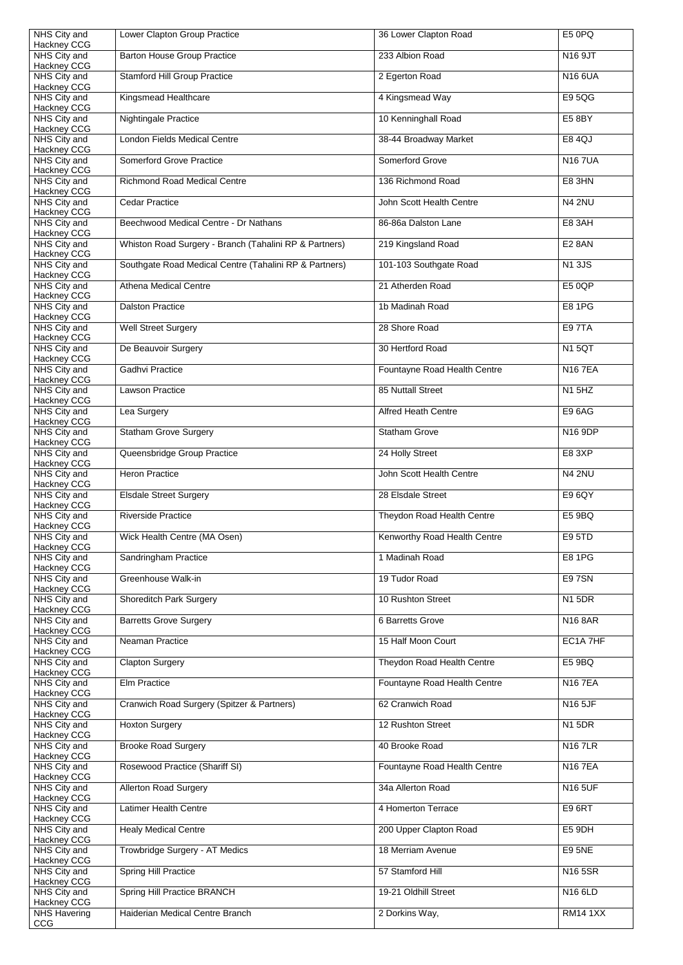| NHS City and                       | Lower Clapton Group Practice                           | 36 Lower Clapton Road        | E5 0PQ          |
|------------------------------------|--------------------------------------------------------|------------------------------|-----------------|
| <b>Hackney CCG</b><br>NHS City and | <b>Barton House Group Practice</b>                     | 233 Albion Road              | N16 9JT         |
| <b>Hackney CCG</b><br>NHS City and | <b>Stamford Hill Group Practice</b>                    | 2 Egerton Road               | <b>N16 6UA</b>  |
| Hackney CCG<br>NHS City and        | Kingsmead Healthcare                                   | 4 Kingsmead Way              | <b>E95QG</b>    |
| Hackney CCG<br>NHS City and        | <b>Nightingale Practice</b>                            | 10 Kenninghall Road          | <b>E5 8BY</b>   |
| <b>Hackney CCG</b><br>NHS City and | <b>London Fields Medical Centre</b>                    | 38-44 Broadway Market        | <b>E8 4QJ</b>   |
| <b>Hackney CCG</b><br>NHS City and | <b>Somerford Grove Practice</b>                        | <b>Somerford Grove</b>       | <b>N167UA</b>   |
| Hackney CCG<br>NHS City and        | <b>Richmond Road Medical Centre</b>                    | 136 Richmond Road            | <b>E8 3HN</b>   |
| <b>Hackney CCG</b><br>NHS City and | <b>Cedar Practice</b>                                  | John Scott Health Centre     | <b>N4 2NU</b>   |
| Hackney CCG<br>NHS City and        | Beechwood Medical Centre - Dr Nathans                  | 86-86a Dalston Lane          | <b>E8 3AH</b>   |
| <b>Hackney CCG</b><br>NHS City and | Whiston Road Surgery - Branch (Tahalini RP & Partners) | 219 Kingsland Road           | <b>E2 8AN</b>   |
| Hackney CCG<br>NHS City and        | Southgate Road Medical Centre (Tahalini RP & Partners) | 101-103 Southgate Road       | <b>N13JS</b>    |
| Hackney CCG<br>NHS City and        | <b>Athena Medical Centre</b>                           | 21 Atherden Road             | <b>E5 0QP</b>   |
| <b>Hackney CCG</b><br>NHS City and | <b>Dalston Practice</b>                                | 1b Madinah Road              | <b>E8 1PG</b>   |
| Hackney CCG                        |                                                        | 28 Shore Road                | <b>E97TA</b>    |
| NHS City and<br><b>Hackney CCG</b> | <b>Well Street Surgery</b>                             |                              |                 |
| NHS City and<br><b>Hackney CCG</b> | De Beauvoir Surgery                                    | 30 Hertford Road             | <b>N1 5QT</b>   |
| NHS City and<br><b>Hackney CCG</b> | <b>Gadhvi Practice</b>                                 | Fountayne Road Health Centre | <b>N167EA</b>   |
| NHS City and<br><b>Hackney CCG</b> | <b>Lawson Practice</b>                                 | <b>85 Nuttall Street</b>     | <b>N1 5HZ</b>   |
| NHS City and<br>Hackney CCG        | Lea Surgery                                            | <b>Alfred Heath Centre</b>   | <b>E96AG</b>    |
| NHS City and<br>Hackney CCG        | <b>Statham Grove Surgery</b>                           | <b>Statham Grove</b>         | N16 9DP         |
| NHS City and<br>Hackney CCG        | Queensbridge Group Practice                            | 24 Holly Street              | E8 3XP          |
| NHS City and<br><b>Hackney CCG</b> | <b>Heron Practice</b>                                  | John Scott Health Centre     | <b>N4 2NU</b>   |
| NHS City and<br><b>Hackney CCG</b> | <b>Elsdale Street Surgery</b>                          | 28 Elsdale Street            | E9 6QY          |
| NHS City and<br>Hackney CCG        | <b>Riverside Practice</b>                              | Theydon Road Health Centre   | E5 9BQ          |
| NHS City and<br>Hackney CCG        | Wick Health Centre (MA Osen)                           | Kenworthy Road Health Centre | <b>E9 5TD</b>   |
| NHS City and<br>Hackney CCG        | Sandringham Practice                                   | 1 Madinah Road               | <b>E8 1PG</b>   |
| NHS City and<br>Hackney CCG        | Greenhouse Walk-in                                     | 19 Tudor Road                | <b>E97SN</b>    |
| NHS City and<br>Hackney CCG        | <b>Shoreditch Park Surgery</b>                         | 10 Rushton Street            | <b>N1 5DR</b>   |
| NHS City and<br>Hackney CCG        | <b>Barretts Grove Surgery</b>                          | 6 Barretts Grove             | <b>N16 8AR</b>  |
| NHS City and                       | <b>Neaman Practice</b>                                 | 15 Half Moon Court           | EC1A 7HF        |
| Hackney CCG<br>NHS City and        | <b>Clapton Surgery</b>                                 | Theydon Road Health Centre   | E5 9BQ          |
| Hackney CCG<br>NHS City and        | <b>Elm Practice</b>                                    | Fountayne Road Health Centre | <b>N167EA</b>   |
| Hackney CCG<br>NHS City and        | Cranwich Road Surgery (Spitzer & Partners)             | 62 Cranwich Road             | <b>N16 5JF</b>  |
| Hackney CCG<br>NHS City and        | <b>Hoxton Surgery</b>                                  | 12 Rushton Street            | <b>N1 5DR</b>   |
| Hackney CCG<br>NHS City and        | <b>Brooke Road Surgery</b>                             | 40 Brooke Road               | <b>N167LR</b>   |
| <b>Hackney CCG</b><br>NHS City and | Rosewood Practice (Shariff SI)                         | Fountayne Road Health Centre | <b>N167EA</b>   |
| Hackney CCG<br>NHS City and        | <b>Allerton Road Surgery</b>                           | 34a Allerton Road            | <b>N16 5UF</b>  |
| Hackney CCG<br>NHS City and        | <b>Latimer Health Centre</b>                           | 4 Homerton Terrace           | <b>E96RT</b>    |
| Hackney CCG<br>NHS City and        | <b>Healy Medical Centre</b>                            | 200 Upper Clapton Road       | E5 9DH          |
| Hackney CCG<br>NHS City and        | Trowbridge Surgery - AT Medics                         | 18 Merriam Avenue            | <b>E95NE</b>    |
| Hackney CCG<br>NHS City and        | <b>Spring Hill Practice</b>                            | 57 Stamford Hill             | N16 5SR         |
| Hackney CCG<br>NHS City and        | Spring Hill Practice BRANCH                            | 19-21 Oldhill Street         | N16 6LD         |
| Hackney CCG<br><b>NHS Havering</b> | Haiderian Medical Centre Branch                        | 2 Dorkins Way,               | <b>RM14 1XX</b> |
| CCG                                |                                                        |                              |                 |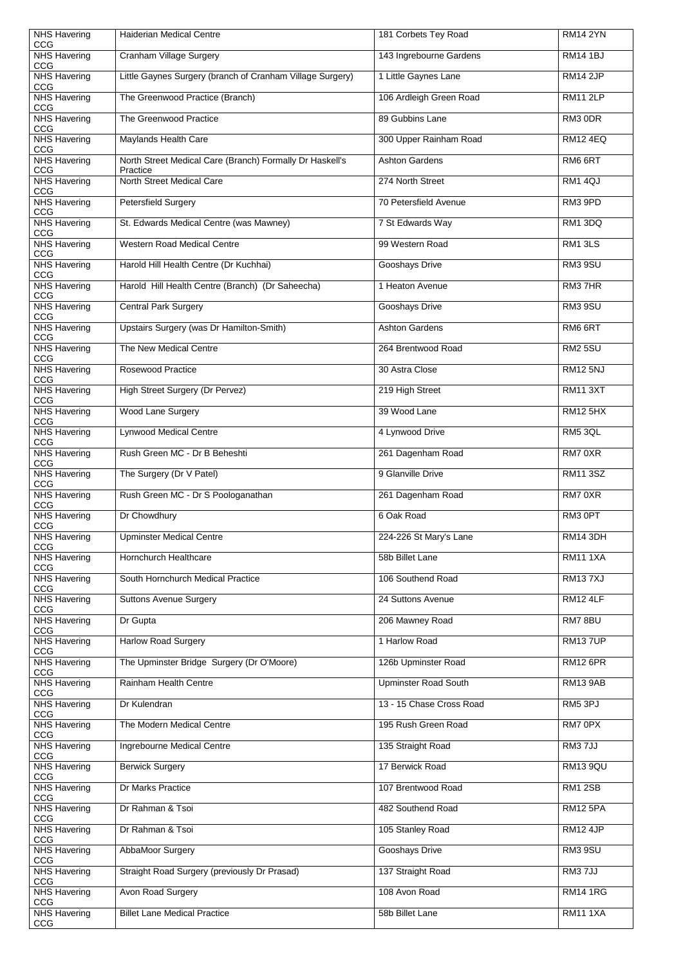| <b>NHS Havering</b>               | <b>Haiderian Medical Centre</b>                                      | 181 Corbets Tey Road        | <b>RM14 2YN</b> |
|-----------------------------------|----------------------------------------------------------------------|-----------------------------|-----------------|
| CCG<br><b>NHS Havering</b><br>CCG | <b>Cranham Village Surgery</b>                                       | 143 Ingrebourne Gardens     | <b>RM14 1BJ</b> |
| <b>NHS Havering</b><br>CCG        | Little Gaynes Surgery (branch of Cranham Village Surgery)            | 1 Little Gaynes Lane        | <b>RM14 2JP</b> |
| <b>NHS Havering</b><br>CCG        | The Greenwood Practice (Branch)                                      | 106 Ardleigh Green Road     | <b>RM11 2LP</b> |
| <b>NHS Havering</b><br>CCG        | The Greenwood Practice                                               | 89 Gubbins Lane             | RM3 0DR         |
| <b>NHS Havering</b><br>CCG        | <b>Maylands Health Care</b>                                          | 300 Upper Rainham Road      | <b>RM12 4EQ</b> |
| <b>NHS Havering</b><br>CCG        | North Street Medical Care (Branch) Formally Dr Haskell's<br>Practice | <b>Ashton Gardens</b>       | RM6 6RT         |
| <b>NHS Havering</b><br>CCG        | North Street Medical Care                                            | 274 North Street            | RM1 4QJ         |
| <b>NHS Havering</b><br>CCG        | <b>Petersfield Surgery</b>                                           | 70 Petersfield Avenue       | RM3 9PD         |
| <b>NHS Havering</b><br>CCG        | St. Edwards Medical Centre (was Mawney)                              | 7 St Edwards Way            | RM1 3DQ         |
| <b>NHS Havering</b><br><b>CCG</b> | <b>Western Road Medical Centre</b>                                   | 99 Western Road             | RM1 3LS         |
| <b>NHS Havering</b><br>CCG        | Harold Hill Health Centre (Dr Kuchhai)                               | Gooshays Drive              | RM3 9SU         |
| <b>NHS Havering</b><br>CCG        | Harold Hill Health Centre (Branch) (Dr Saheecha)                     | 1 Heaton Avenue             | RM37HR          |
| <b>NHS Havering</b><br>CCG        | <b>Central Park Surgery</b>                                          | Gooshays Drive              | RM3 9SU         |
| <b>NHS Havering</b><br>CCG        | Upstairs Surgery (was Dr Hamilton-Smith)                             | <b>Ashton Gardens</b>       | RM6 6RT         |
| <b>NHS Havering</b><br>CCG        | The New Medical Centre                                               | 264 Brentwood Road          | <b>RM2 5SU</b>  |
| <b>NHS Havering</b><br>CCG        | <b>Rosewood Practice</b>                                             | 30 Astra Close              | <b>RM12 5NJ</b> |
| <b>NHS Havering</b><br><b>CCG</b> | <b>High Street Surgery (Dr Pervez)</b>                               | 219 High Street             | <b>RM11 3XT</b> |
| <b>NHS Havering</b><br>CCG        | <b>Wood Lane Surgery</b>                                             | 39 Wood Lane                | <b>RM12 5HX</b> |
| <b>NHS Havering</b><br>CCG        | <b>Lynwood Medical Centre</b>                                        | 4 Lynwood Drive             | RM5 3QL         |
| NHS Havering<br>CCG               | Rush Green MC - Dr B Beheshti                                        | 261 Dagenham Road           | RM7 0XR         |
| <b>NHS Havering</b><br>CCG        | The Surgery (Dr V Patel)                                             | 9 Glanville Drive           | <b>RM11 3SZ</b> |
| <b>NHS Havering</b><br>CCG        | Rush Green MC - Dr S Poologanathan                                   | 261 Dagenham Road           | RM7 0XR         |
| <b>NHS Havering</b><br>CCG        | Dr Chowdhury                                                         | 6 Oak Road                  | RM3 0PT         |
| <b>NHS Havering</b><br>CCG        | <b>Upminster Medical Centre</b>                                      | 224-226 St Mary's Lane      | <b>RM14 3DH</b> |
| <b>NHS Havering</b><br>CCG        | Hornchurch Healthcare                                                | 58b Billet Lane             | <b>RM11 1XA</b> |
| <b>NHS Havering</b><br>CCG        | South Hornchurch Medical Practice                                    | 106 Southend Road           | <b>RM137XJ</b>  |
| <b>NHS Havering</b><br>CCG        | <b>Suttons Avenue Surgery</b>                                        | 24 Suttons Avenue           | <b>RM12 4LF</b> |
| NHS Havering<br>CCG               | Dr Gupta                                                             | 206 Mawney Road             | RM78BU          |
| <b>NHS Havering</b><br>CCG        | <b>Harlow Road Surgery</b>                                           | 1 Harlow Road               | <b>RM137UP</b>  |
| NHS Havering<br>CCG               | The Upminster Bridge Surgery (Dr O'Moore)                            | 126b Upminster Road         | <b>RM12 6PR</b> |
| <b>NHS Havering</b><br>CCG        | <b>Rainham Health Centre</b>                                         | <b>Upminster Road South</b> | <b>RM13 9AB</b> |
| <b>NHS Havering</b><br>CCG        | Dr Kulendran                                                         | 13 - 15 Chase Cross Road    | RM5 3PJ         |
| <b>NHS Havering</b><br>CCG        | The Modern Medical Centre                                            | 195 Rush Green Road         | RM7 0PX         |
| <b>NHS Havering</b><br>CCG        | Ingrebourne Medical Centre                                           | 135 Straight Road           | RM37JJ          |
| <b>NHS Havering</b><br>CCG        | <b>Berwick Surgery</b>                                               | 17 Berwick Road             | <b>RM13 9QU</b> |
| <b>NHS Havering</b><br>CCG        | Dr Marks Practice                                                    | 107 Brentwood Road          | <b>RM1 2SB</b>  |
| <b>NHS Havering</b><br>CCG        | Dr Rahman & Tsoi                                                     | 482 Southend Road           | <b>RM12 5PA</b> |
| <b>NHS Havering</b><br>CCG        | Dr Rahman & Tsoi                                                     | 105 Stanley Road            | <b>RM12 4JP</b> |
| <b>NHS Havering</b><br>CCG        | <b>AbbaMoor Surgery</b>                                              | <b>Gooshays Drive</b>       | <b>RM3 9SU</b>  |
| <b>NHS Havering</b><br><b>CCG</b> | Straight Road Surgery (previously Dr Prasad)                         | 137 Straight Road           | RM37JJ          |
| <b>NHS Havering</b><br>CCG        | Avon Road Surgery                                                    | 108 Avon Road               | <b>RM14 1RG</b> |
| <b>NHS Havering</b><br>CCG        | <b>Billet Lane Medical Practice</b>                                  | 58b Billet Lane             | <b>RM11 1XA</b> |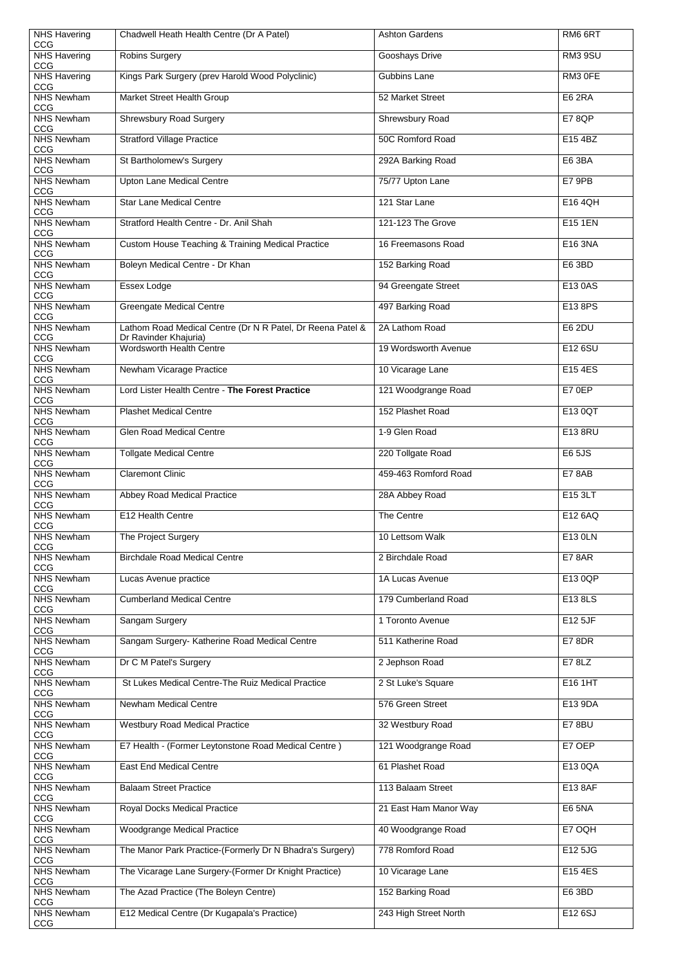| <b>NHS Havering</b><br>CCG      | Chadwell Heath Health Centre (Dr A Patel)                                           | <b>Ashton Gardens</b> | RM6 6RT        |
|---------------------------------|-------------------------------------------------------------------------------------|-----------------------|----------------|
| <b>NHS Havering</b><br>CCG      | <b>Robins Surgery</b>                                                               | <b>Gooshays Drive</b> | RM3 9SU        |
| <b>NHS Havering</b><br>CCG      | Kings Park Surgery (prev Harold Wood Polyclinic)                                    | <b>Gubbins Lane</b>   | RM3 OFE        |
| <b>NHS Newham</b><br><b>CCG</b> | <b>Market Street Health Group</b>                                                   | 52 Market Street      | <b>E6 2RA</b>  |
| <b>NHS Newham</b><br><b>CCG</b> | <b>Shrewsbury Road Surgery</b>                                                      | Shrewsbury Road       | <b>E7 8QP</b>  |
| <b>NHS Newham</b><br>CCG        | <b>Stratford Village Practice</b>                                                   | 50C Romford Road      | E15 4BZ        |
| <b>NHS Newham</b><br>CCG        | St Bartholomew's Surgery                                                            | 292A Barking Road     | E6 3BA         |
| <b>NHS Newham</b><br><b>CCG</b> | <b>Upton Lane Medical Centre</b>                                                    | 75/77 Upton Lane      | E7 9PB         |
| <b>NHS Newham</b><br>CCG        | <b>Star Lane Medical Centre</b>                                                     | 121 Star Lane         | E16 4QH        |
| <b>NHS Newham</b><br>CCG        | Stratford Health Centre - Dr. Anil Shah                                             | 121-123 The Grove     | <b>E15 1EN</b> |
| <b>NHS Newham</b><br>CCG        | <b>Custom House Teaching &amp; Training Medical Practice</b>                        | 16 Freemasons Road    | E16 3NA        |
| <b>NHS Newham</b><br>CCG        | Boleyn Medical Centre - Dr Khan                                                     | 152 Barking Road      | E6 3BD         |
| <b>NHS Newham</b><br>CCG        | Essex Lodge                                                                         | 94 Greengate Street   | E13 0AS        |
| <b>NHS Newham</b><br>CCG        | <b>Greengate Medical Centre</b>                                                     | 497 Barking Road      | E13 8PS        |
| <b>NHS Newham</b><br>CCG        | Lathom Road Medical Centre (Dr N R Patel, Dr Reena Patel &<br>Dr Ravinder Khajuria) | 2A Lathom Road        | <b>E6 2DU</b>  |
| <b>NHS Newham</b><br>CCG        | <b>Wordsworth Health Centre</b>                                                     | 19 Wordsworth Avenue  | E12 6SU        |
| <b>NHS Newham</b><br>CCG        | Newham Vicarage Practice                                                            | 10 Vicarage Lane      | E15 4ES        |
| <b>NHS Newham</b><br>CCG        | Lord Lister Health Centre - The Forest Practice                                     | 121 Woodgrange Road   | E7 0EP         |
| <b>NHS Newham</b><br>CCG        | <b>Plashet Medical Centre</b>                                                       | 152 Plashet Road      | E13 0QT        |
| <b>NHS Newham</b><br>CCG        | <b>Glen Road Medical Centre</b>                                                     | 1-9 Glen Road         | E13 8RU        |
| <b>NHS Newham</b><br>CCG        | <b>Tollgate Medical Centre</b>                                                      | 220 Tollgate Road     | <b>E65JS</b>   |
| <b>NHS Newham</b><br>CCG        | <b>Claremont Clinic</b>                                                             | 459-463 Romford Road  | <b>E7 8AB</b>  |
| <b>NHS Newham</b><br>CCG        | <b>Abbey Road Medical Practice</b>                                                  | 28A Abbey Road        | E15 3LT        |
| <b>NHS Newham</b><br>CCG        | E12 Health Centre                                                                   | The Centre            | E12 6AQ        |
| <b>NHS Newham</b><br>CCG        | The Project Surgery                                                                 | 10 Lettsom Walk       | E13 0LN        |
| <b>NHS Newham</b><br>CCG        | <b>Birchdale Road Medical Centre</b>                                                | 2 Birchdale Road      | <b>E7 8AR</b>  |
| <b>NHS Newham</b><br>CCG        | Lucas Avenue practice                                                               | 1A Lucas Avenue       | E13 0QP        |
| <b>NHS Newham</b><br>CCG        | <b>Cumberland Medical Centre</b>                                                    | 179 Cumberland Road   | E13 8LS        |
| <b>NHS Newham</b><br>CCG        | Sangam Surgery                                                                      | 1 Toronto Avenue      | E12 5JF        |
| <b>NHS Newham</b><br>CCG        | Sangam Surgery- Katherine Road Medical Centre                                       | 511 Katherine Road    | E78DR          |
| <b>NHS Newham</b><br>CCG        | Dr C M Patel's Surgery                                                              | 2 Jephson Road        | E7 8LZ         |
| <b>NHS Newham</b><br>CCG        | St Lukes Medical Centre-The Ruiz Medical Practice                                   | 2 St Luke's Square    | E16 1HT        |
| <b>NHS Newham</b><br>CCG        | <b>Newham Medical Centre</b>                                                        | 576 Green Street      | E13 9DA        |
| <b>NHS Newham</b><br>CCG        | <b>Westbury Road Medical Practice</b>                                               | 32 Westbury Road      | <b>E7 8BU</b>  |
| <b>NHS Newham</b><br>CCG        | E7 Health - (Former Leytonstone Road Medical Centre)                                | 121 Woodgrange Road   | E7 OEP         |
| <b>NHS Newham</b><br>CCG        | <b>East End Medical Centre</b>                                                      | 61 Plashet Road       | E13 0QA        |
| <b>NHS Newham</b><br>CCG        | <b>Balaam Street Practice</b>                                                       | 113 Balaam Street     | E13 8AF        |
| <b>NHS Newham</b><br><b>CCG</b> | <b>Royal Docks Medical Practice</b>                                                 | 21 East Ham Manor Way | <b>E6 5NA</b>  |
| <b>NHS Newham</b><br>CCG        | <b>Woodgrange Medical Practice</b>                                                  | 40 Woodgrange Road    | E7 OQH         |
| <b>NHS Newham</b><br>CCG        | The Manor Park Practice-(Formerly Dr N Bhadra's Surgery)                            | 778 Romford Road      | E12 5JG        |
| <b>NHS Newham</b><br>CCG        | The Vicarage Lane Surgery-(Former Dr Knight Practice)                               | 10 Vicarage Lane      | E15 4ES        |
| <b>NHS Newham</b><br><b>CCG</b> | The Azad Practice (The Boleyn Centre)                                               | 152 Barking Road      | E6 3BD         |
| <b>NHS Newham</b><br>CCG        | E12 Medical Centre (Dr Kugapala's Practice)                                         | 243 High Street North | E12 6SJ        |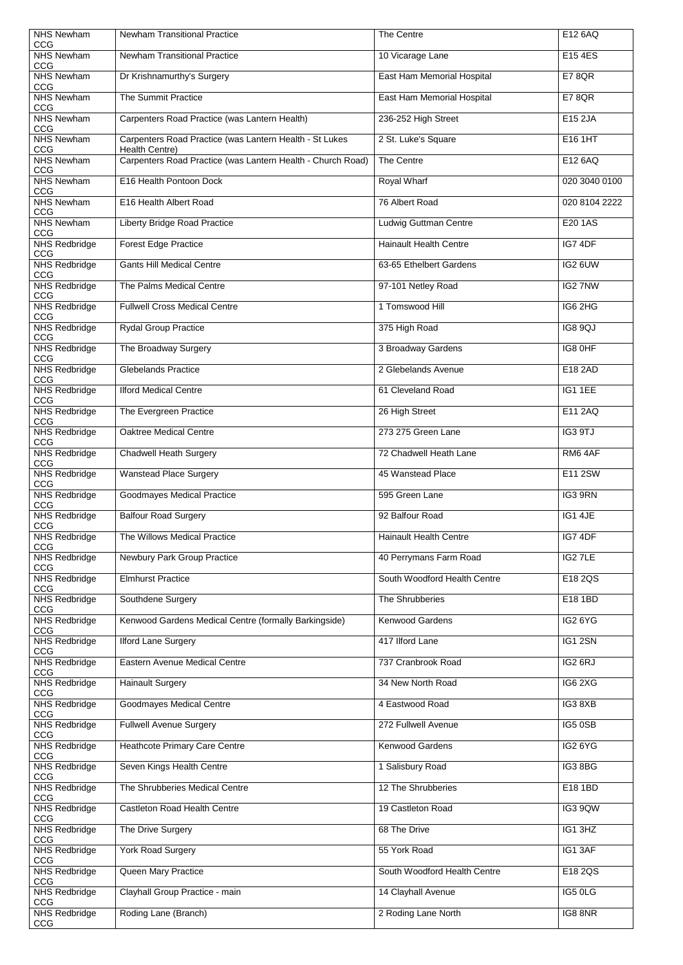| <b>NHS Newham</b><br>CCG           | <b>Newham Transitional Practice</b>                                       | The Centre                    | E12 6AQ        |
|------------------------------------|---------------------------------------------------------------------------|-------------------------------|----------------|
| <b>NHS Newham</b><br>CCG           | <b>Newham Transitional Practice</b>                                       | 10 Vicarage Lane              | E15 4ES        |
| <b>NHS Newham</b><br>CCG           | Dr Krishnamurthy's Surgery                                                | East Ham Memorial Hospital    | <b>E7 8QR</b>  |
| <b>NHS Newham</b><br>CCG           | <b>The Summit Practice</b>                                                | East Ham Memorial Hospital    | <b>E78QR</b>   |
| <b>NHS Newham</b><br>CCG           | Carpenters Road Practice (was Lantern Health)                             | 236-252 High Street           | E15 2JA        |
| <b>NHS Newham</b><br>CCG           | Carpenters Road Practice (was Lantern Health - St Lukes<br>Health Centre) | 2 St. Luke's Square           | E16 1HT        |
| <b>NHS Newham</b><br>CCG           | Carpenters Road Practice (was Lantern Health - Church Road)               | The Centre                    | E12 6AQ        |
| <b>NHS Newham</b><br>CCG           | E16 Health Pontoon Dock                                                   | Royal Wharf                   | 020 3040 0100  |
| <b>NHS Newham</b><br>CCG           | E16 Health Albert Road                                                    | 76 Albert Road                | 020 8104 2222  |
| <b>NHS Newham</b><br>CCG           | <b>Liberty Bridge Road Practice</b>                                       | <b>Ludwig Guttman Centre</b>  | <b>E20 1AS</b> |
| <b>NHS Redbridge</b><br>CCG        | <b>Forest Edge Practice</b>                                               | <b>Hainault Health Centre</b> | IG7 4DF        |
| <b>NHS Redbridge</b><br>CCG        | <b>Gants Hill Medical Centre</b>                                          | 63-65 Ethelbert Gardens       | IG2 6UW        |
| <b>NHS Redbridge</b><br>CCG        | The Palms Medical Centre                                                  | 97-101 Netley Road            | IG2 7NW        |
| <b>NHS Redbridge</b><br>CCG        | <b>Fullwell Cross Medical Centre</b>                                      | 1 Tomswood Hill               | IG6 2HG        |
| <b>NHS Redbridge</b><br>CCG        | <b>Rydal Group Practice</b>                                               | 375 High Road                 | <b>IG8 9QJ</b> |
| <b>NHS Redbridge</b><br>CCG        | The Broadway Surgery                                                      | 3 Broadway Gardens            | IG8 OHF        |
| <b>NHS Redbridge</b><br>CCG        | <b>Glebelands Practice</b>                                                | 2 Glebelands Avenue           | E18 2AD        |
| <b>NHS Redbridge</b><br>CCG        | <b>Ilford Medical Centre</b>                                              | 61 Cleveland Road             | IG1 1EE        |
| <b>NHS Redbridge</b><br>CCG        | The Evergreen Practice                                                    | 26 High Street                | E11 2AQ        |
| <b>NHS Redbridge</b><br>CCG        | <b>Oaktree Medical Centre</b>                                             | 273 275 Green Lane            | IG3 9TJ        |
| <b>NHS Redbridge</b><br>CCG        | <b>Chadwell Heath Surgery</b>                                             | 72 Chadwell Heath Lane        | RM64AF         |
| <b>NHS Redbridge</b><br>CCG        | <b>Wanstead Place Surgery</b>                                             | 45 Wanstead Place             | E11 2SW        |
| <b>NHS Redbridge</b><br>CCG        | <b>Goodmayes Medical Practice</b>                                         | 595 Green Lane                | IG3 9RN        |
| <b>NHS Redbridge</b><br><b>CCG</b> | <b>Balfour Road Surgery</b>                                               | 92 Balfour Road               | IG1 4JE        |
| <b>NHS Redbridge</b><br>CCG        | The Willows Medical Practice                                              | <b>Hainault Health Centre</b> | IG7 4DF        |
| <b>NHS Redbridge</b><br>CCG        | <b>Newbury Park Group Practice</b>                                        | 40 Perrymans Farm Road        | IG2 7LE        |
| <b>NHS Redbridge</b><br>CCG        | <b>Elmhurst Practice</b>                                                  | South Woodford Health Centre  | E18 2QS        |
| <b>NHS Redbridge</b><br>CCG        | Southdene Surgery                                                         | The Shrubberies               | E18 1BD        |
| NHS Redbridge<br>CCG               | Kenwood Gardens Medical Centre (formally Barkingside)                     | <b>Kenwood Gardens</b>        | IG26YG         |
| <b>NHS Redbridge</b><br>CCG        | <b>Ilford Lane Surgery</b>                                                | 417 Ilford Lane               | IG1 2SN        |
| <b>NHS Redbridge</b><br>CCG        | <b>Eastern Avenue Medical Centre</b>                                      | 737 Cranbrook Road            | IG2 6RJ        |
| <b>NHS Redbridge</b><br>CCG        | <b>Hainault Surgery</b>                                                   | 34 New North Road             | IG6 2XG        |
| <b>NHS Redbridge</b><br>CCG        | <b>Goodmayes Medical Centre</b>                                           | 4 Eastwood Road               | IG38XB         |
| NHS Redbridge<br>CCG               | <b>Fullwell Avenue Surgery</b>                                            | 272 Fullwell Avenue           | IG5 0SB        |
| <b>NHS Redbridge</b><br><b>CCG</b> | <b>Heathcote Primary Care Centre</b>                                      | <b>Kenwood Gardens</b>        | IG26YG         |
| <b>NHS Redbridge</b><br>CCG        | Seven Kings Health Centre                                                 | 1 Salisbury Road              | IG38BG         |
| <b>NHS Redbridge</b><br>CCG        | The Shrubberies Medical Centre                                            | 12 The Shrubberies            | E18 1BD        |
| <b>NHS Redbridge</b><br>CCG        | <b>Castleton Road Health Centre</b>                                       | 19 Castleton Road             | IG3 9QW        |
| <b>NHS Redbridge</b><br>CCG        | The Drive Surgery                                                         | 68 The Drive                  | IG1 3HZ        |
| <b>NHS Redbridge</b><br>CCG        | <b>York Road Surgery</b>                                                  | 55 York Road                  | IG1 3AF        |
| <b>NHS Redbridge</b><br>CCG        | Queen Mary Practice                                                       | South Woodford Health Centre  | E18 2QS        |
| <b>NHS Redbridge</b><br>CCG        | Clayhall Group Practice - main                                            | 14 Clayhall Avenue            | IG5 0LG        |
| <b>NHS Redbridge</b><br>CCG        | Roding Lane (Branch)                                                      | 2 Roding Lane North           | IG88NR         |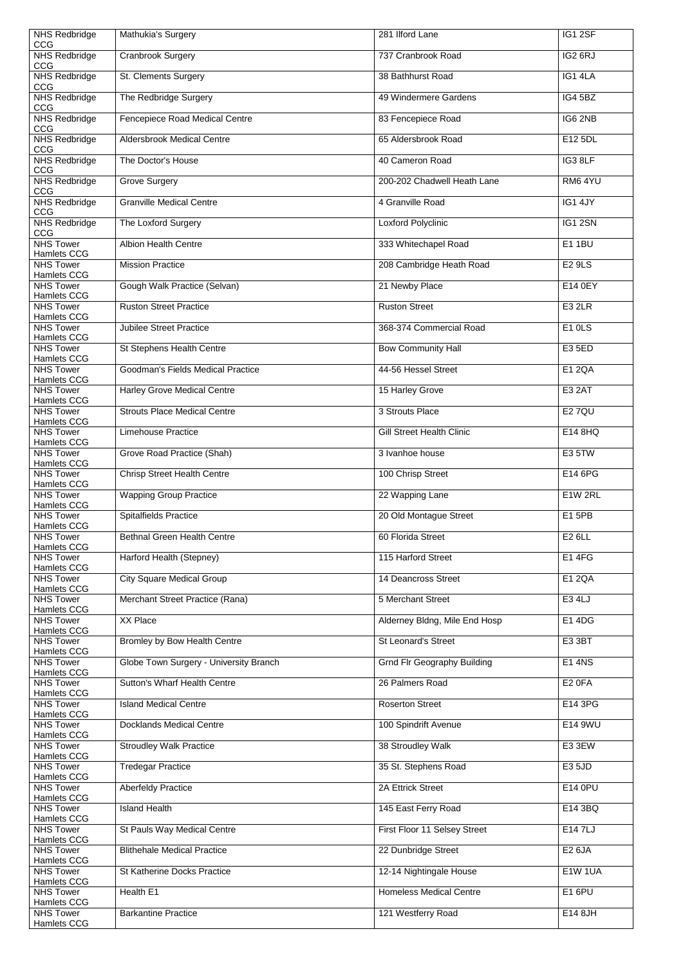| <b>NHS Redbridge</b><br><b>CCG</b>               | Mathukia's Surgery                     | 281 Ilford Lane                    | IG1 2SF            |
|--------------------------------------------------|----------------------------------------|------------------------------------|--------------------|
| <b>NHS Redbridge</b>                             | <b>Cranbrook Surgery</b>               | 737 Cranbrook Road                 | IG2 6RJ            |
| CCG<br><b>NHS Redbridge</b>                      | St. Clements Surgery                   | 38 Bathhurst Road                  | IG1 4LA            |
| CCG<br><b>NHS Redbridge</b>                      | The Redbridge Surgery                  | 49 Windermere Gardens              | IG4 5BZ            |
| <b>CCG</b><br><b>NHS Redbridge</b><br><b>CCG</b> | Fencepiece Road Medical Centre         | 83 Fencepiece Road                 | IG6 2NB            |
| <b>NHS Redbridge</b><br><b>CCG</b>               | <b>Aldersbrook Medical Centre</b>      | 65 Aldersbrook Road                | E12 5DL            |
| <b>NHS Redbridge</b>                             | The Doctor's House                     | 40 Cameron Road                    | IG3 8LF            |
| <b>CCG</b><br><b>NHS Redbridge</b><br>CCG        | <b>Grove Surgery</b>                   | 200-202 Chadwell Heath Lane        | RM6 4YU            |
| <b>NHS Redbridge</b>                             | <b>Granville Medical Centre</b>        | 4 Granville Road                   | IG1 4JY            |
| <b>CCG</b><br><b>NHS Redbridge</b>               | The Loxford Surgery                    | Loxford Polyclinic                 | IG1 2SN            |
| CCG<br><b>NHS Tower</b><br><b>Hamlets CCG</b>    | <b>Albion Health Centre</b>            | 333 Whitechapel Road               | <b>E11BU</b>       |
| <b>NHS Tower</b><br><b>Hamlets CCG</b>           | <b>Mission Practice</b>                | 208 Cambridge Heath Road           | <b>E2 9LS</b>      |
| <b>NHS Tower</b><br><b>Hamlets CCG</b>           | Gough Walk Practice (Selvan)           | 21 Newby Place                     | E14 0EY            |
| <b>NHS Tower</b><br><b>Hamlets CCG</b>           | <b>Ruston Street Practice</b>          | <b>Ruston Street</b>               | <b>E3 2LR</b>      |
| <b>NHS Tower</b><br><b>Hamlets CCG</b>           | <b>Jubilee Street Practice</b>         | 368-374 Commercial Road            | E1 OLS             |
| <b>NHS Tower</b><br><b>Hamlets CCG</b>           | St Stephens Health Centre              | <b>Bow Community Hall</b>          | E3 5ED             |
| <b>NHS Tower</b>                                 | Goodman's Fields Medical Practice      | 44-56 Hessel Street                | <b>E1 2QA</b>      |
| <b>Hamlets CCG</b><br><b>NHS Tower</b>           | <b>Harley Grove Medical Centre</b>     | 15 Harley Grove                    | <b>E3 2AT</b>      |
| <b>Hamlets CCG</b><br><b>NHS Tower</b>           | <b>Strouts Place Medical Centre</b>    | 3 Strouts Place                    | <b>E27QU</b>       |
| <b>Hamlets CCG</b><br><b>NHS Tower</b>           | <b>Limehouse Practice</b>              | <b>Gill Street Health Clinic</b>   | E14 8HQ            |
| <b>Hamlets CCG</b><br><b>NHS Tower</b>           | Grove Road Practice (Shah)             | 3 Ivanhoe house                    | E3 5TW             |
| <b>Hamlets CCG</b><br><b>NHS Tower</b>           | <b>Chrisp Street Health Centre</b>     | 100 Chrisp Street                  | E14 6PG            |
| <b>Hamlets CCG</b><br><b>NHS Tower</b>           | <b>Wapping Group Practice</b>          | 22 Wapping Lane                    | E1W 2RL            |
| <b>Hamlets CCG</b><br><b>NHS Tower</b>           | <b>Spitalfields Practice</b>           | 20 Old Montague Street             | E1 5PB             |
| <b>Hamlets CCG</b><br><b>NHS Tower</b>           | <b>Bethnal Green Health Centre</b>     | 60 Florida Street                  | <b>E26LL</b>       |
| <b>Hamlets CCG</b><br><b>NHS Tower</b>           | Harford Health (Stepney)               | 115 Harford Street                 | <b>E14FG</b>       |
| <b>Hamlets CCG</b><br><b>NHS Tower</b>           | <b>City Square Medical Group</b>       | 14 Deancross Street                | E1 2QA             |
| <b>Hamlets CCG</b><br><b>NHS Tower</b>           | Merchant Street Practice (Rana)        | 5 Merchant Street                  | E3 4LJ             |
| <b>Hamlets CCG</b><br><b>NHS Tower</b>           | XX Place                               | Alderney Bldng, Mile End Hosp      | E1 4DG             |
| <b>Hamlets CCG</b><br><b>NHS Tower</b>           | <b>Bromley by Bow Health Centre</b>    | <b>St Leonard's Street</b>         | E3 3BT             |
| <b>Hamlets CCG</b><br><b>NHS Tower</b>           | Globe Town Surgery - University Branch | <b>Grnd Flr Geography Building</b> | <b>E14NS</b>       |
| <b>Hamlets CCG</b><br><b>NHS Tower</b>           | <b>Sutton's Wharf Health Centre</b>    | 26 Palmers Road                    | E <sub>2</sub> OFA |
| <b>Hamlets CCG</b><br><b>NHS Tower</b>           | <b>Island Medical Centre</b>           | <b>Roserton Street</b>             | E14 3PG            |
| <b>Hamlets CCG</b><br><b>NHS Tower</b>           | <b>Docklands Medical Centre</b>        | 100 Spindrift Avenue               | E14 9WU            |
| <b>Hamlets CCG</b><br><b>NHS Tower</b>           | <b>Stroudley Walk Practice</b>         | 38 Stroudley Walk                  | E3 3EW             |
| <b>Hamlets CCG</b><br><b>NHS Tower</b>           | <b>Tredegar Practice</b>               | 35 St. Stephens Road               | E3 5JD             |
| Hamlets CCG<br><b>NHS Tower</b>                  | <b>Aberfeldy Practice</b>              | <b>2A Ettrick Street</b>           | E14 0PU            |
| <b>Hamlets CCG</b><br><b>NHS Tower</b>           | <b>Island Health</b>                   | 145 East Ferry Road                | E14 3BQ            |
| Hamlets CCG<br><b>NHS Tower</b>                  | St Pauls Way Medical Centre            | First Floor 11 Selsey Street       | E14 7LJ            |
| <b>Hamlets CCG</b><br><b>NHS Tower</b>           | <b>Blithehale Medical Practice</b>     | 22 Dunbridge Street                | <b>E2 6JA</b>      |
| <b>Hamlets CCG</b><br><b>NHS Tower</b>           | <b>St Katherine Docks Practice</b>     | 12-14 Nightingale House            | <b>E1W 1UA</b>     |
| <b>Hamlets CCG</b><br><b>NHS Tower</b>           | Health E1                              | <b>Homeless Medical Centre</b>     | <b>E16PU</b>       |
| <b>Hamlets CCG</b><br><b>NHS Tower</b>           | <b>Barkantine Practice</b>             | 121 Westferry Road                 | E14 8JH            |
| <b>Hamlets CCG</b>                               |                                        |                                    |                    |